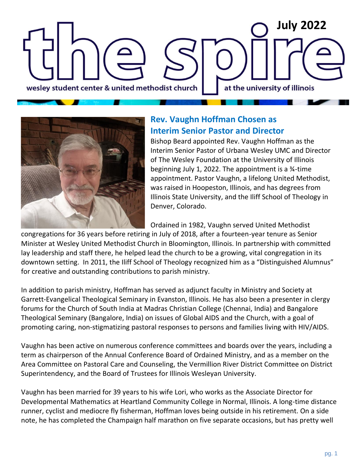## **February <sup>2022</sup> July 2022**at the university of illinois wesley student center & united methodist church



#### **Rev. Vaughn Hoffman Chosen as Interim Senior Pastor and Director**

Bishop Beard appointed Rev. Vaughn Hoffman as the Interim Senior Pastor of Urbana Wesley UMC and Director of The Wesley Foundation at the University of Illinois beginning July 1, 2022. The appointment is a ¾-time appointment. Pastor Vaughn, a lifelong United Methodist, was raised in Hoopeston, Illinois, and has degrees from Illinois State University, and the Iliff School of Theology in Denver, Colorado.

Ordained in 1982, Vaughn served United Methodist

congregations for 36 years before retiring in July of 2018, after a fourteen-year tenure as Senior Minister at Wesley United Methodist Church in Bloomington, Illinois. In partnership with committed lay leadership and staff there, he helped lead the church to be a growing, vital congregation in its downtown setting. In 2011, the Iliff School of Theology recognized him as a "Distinguished Alumnus" for creative and outstanding contributions to parish ministry.

In addition to parish ministry, Hoffman has served as adjunct faculty in Ministry and Society at Garrett-Evangelical Theological Seminary in Evanston, Illinois. He has also been a presenter in clergy forums for the Church of South India at Madras Christian College (Chennai, India) and Bangalore Theological Seminary (Bangalore, India) on issues of Global AIDS and the Church, with a goal of promoting caring, non-stigmatizing pastoral responses to persons and families living with HIV/AIDS.

Vaughn has been active on numerous conference committees and boards over the years, including a term as chairperson of the Annual Conference Board of Ordained Ministry, and as a member on the Area Committee on Pastoral Care and Counseling, the Vermillion River District Committee on District Superintendency, and the Board of Trustees for Illinois Wesleyan University.

Vaughn has been married for 39 years to his wife Lori, who works as the Associate Director for Developmental Mathematics at Heartland Community College in Normal, Illinois. A long-time distance runner, cyclist and mediocre fly fisherman, Hoffman loves being outside in his retirement. On a side note, he has completed the Champaign half marathon on five separate occasions, but has pretty well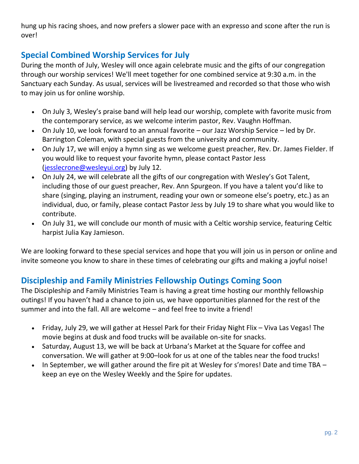hung up his racing shoes, and now prefers a slower pace with an expresso and scone after the run is over!

#### **Special Combined Worship Services for July**

During the month of July, Wesley will once again celebrate music and the gifts of our congregation through our worship services! We'll meet together for one combined service at 9:30 a.m. in the Sanctuary each Sunday. As usual, services will be livestreamed and recorded so that those who wish to may join us for online worship.

- On July 3, Wesley's praise band will help lead our worship, complete with favorite music from the contemporary service, as we welcome interim pastor, Rev. Vaughn Hoffman.
- On July 10, we look forward to an annual favorite our Jazz Worship Service led by Dr. Barrington Coleman, with special guests from the university and community.
- On July 17, we will enjoy a hymn sing as we welcome guest preacher, Rev. Dr. James Fielder. If you would like to request your favorite hymn, please contact Pastor Jess [\(jesslecrone@wesleyui.org\)](mailto:jesslecrone@wesleyui.org) by July 12.
- On July 24, we will celebrate all the gifts of our congregation with Wesley's Got Talent, including those of our guest preacher, Rev. Ann Spurgeon. If you have a talent you'd like to share (singing, playing an instrument, reading your own or someone else's poetry, etc.) as an individual, duo, or family, please contact Pastor Jess by July 19 to share what you would like to contribute.
- On July 31, we will conclude our month of music with a Celtic worship service, featuring Celtic harpist Julia Kay Jamieson.

We are looking forward to these special services and hope that you will join us in person or online and invite someone you know to share in these times of celebrating our gifts and making a joyful noise!

#### **Discipleship and Family Ministries Fellowship Outings Coming Soon**

The Discipleship and Family Ministries Team is having a great time hosting our monthly fellowship outings! If you haven't had a chance to join us, we have opportunities planned for the rest of the summer and into the fall. All are welcome – and feel free to invite a friend!

- Friday, July 29, we will gather at Hessel Park for their Friday Night Flix Viva Las Vegas! The movie begins at dusk and food trucks will be available on-site for snacks.
- Saturday, August 13, we will be back at Urbana's Market at the Square for coffee and conversation. We will gather at 9:00–look for us at one of the tables near the food trucks!
- In September, we will gather around the fire pit at Wesley for s'mores! Date and time TBA keep an eye on the Wesley Weekly and the Spire for updates.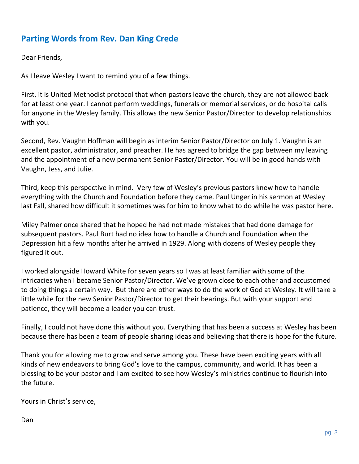#### **Parting Words from Rev. Dan King Crede**

Dear Friends,

As I leave Wesley I want to remind you of a few things.

First, it is United Methodist protocol that when pastors leave the church, they are not allowed back for at least one year. I cannot perform weddings, funerals or memorial services, or do hospital calls for anyone in the Wesley family. This allows the new Senior Pastor/Director to develop relationships with you.

Second, Rev. Vaughn Hoffman will begin as interim Senior Pastor/Director on July 1. Vaughn is an excellent pastor, administrator, and preacher. He has agreed to bridge the gap between my leaving and the appointment of a new permanent Senior Pastor/Director. You will be in good hands with Vaughn, Jess, and Julie.

Third, keep this perspective in mind. Very few of Wesley's previous pastors knew how to handle everything with the Church and Foundation before they came. Paul Unger in his sermon at Wesley last Fall, shared how difficult it sometimes was for him to know what to do while he was pastor here.

Miley Palmer once shared that he hoped he had not made mistakes that had done damage for subsequent pastors. Paul Burt had no idea how to handle a Church and Foundation when the Depression hit a few months after he arrived in 1929. Along with dozens of Wesley people they figured it out.

I worked alongside Howard White for seven years so I was at least familiar with some of the intricacies when I became Senior Pastor/Director. We've grown close to each other and accustomed to doing things a certain way. But there are other ways to do the work of God at Wesley. It will take a little while for the new Senior Pastor/Director to get their bearings. But with your support and patience, they will become a leader you can trust.

Finally, I could not have done this without you. Everything that has been a success at Wesley has been because there has been a team of people sharing ideas and believing that there is hope for the future.

Thank you for allowing me to grow and serve among you. These have been exciting years with all kinds of new endeavors to bring God's love to the campus, community, and world. It has been a blessing to be your pastor and I am excited to see how Wesley's ministries continue to flourish into the future.

Yours in Christ's service,

Dan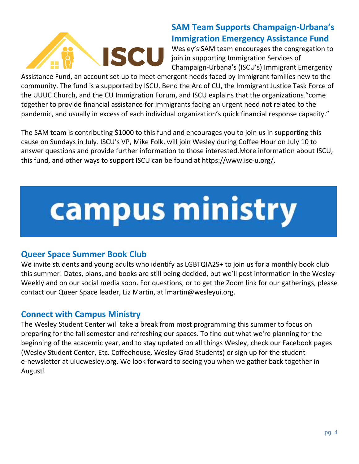

#### **SAM Team Supports Champaign-Urbana's Immigration Emergency Assistance Fund**

Wesley's SAM team encourages the congregation to join in supporting Immigration Services of Champaign-Urbana's (ISCU's) Immigrant Emergency

Assistance Fund, an account set up to meet emergent needs faced by immigrant families new to the community. The fund is a supported by ISCU, Bend the Arc of CU, the Immigrant Justice Task Force of the UUUC Church, and the CU Immigration Forum, and ISCU explains that the organizations "come together to provide financial assistance for immigrants facing an urgent need not related to the pandemic, and usually in excess of each individual organization's quick financial response capacity."

The SAM team is contributing \$1000 to this fund and encourages you to join us in supporting this cause on Sundays in July. ISCU's VP, Mike Folk, will join Wesley during Coffee Hour on July 10 to answer questions and provide further information to those interested.More information about ISCU, this fund, and other ways to support ISCU can be found at [https://www.isc-u.org/.](https://linkprotect.cudasvc.com/url?a=https%3a%2f%2fwww.isc-u.org%2f&c=E,1,WqjPOFC33MboIsuDRCukwLJgV2hsaCslJ2nhvnKoP0SPFFEvEU5N9djThjCvGsO8LVRp8u1RWDyB3zH0Tco5h9Dr1eteXAUqKc3gG8KqtAYFZzViXgw6QI-kF2s,&typo=1)

# campus ministry

#### **Queer Space Summer Book Club**

We invite students and young adults who identify as LGBTQIA2S+ to join us for a monthly book club this summer! Dates, plans, and books are still being decided, but we'll post information in the Wesley Weekly and on our social media soon. For questions, or to get the Zoom link for our gatherings, please contact our Queer Space leader, Liz Martin, at [lmartin@wesleyui.org.](mailto:lmartin@wesleyui.org)

#### **Connect with Campus Ministry**

The Wesley Student Center will take a break from most programming this summer to focus on preparing for the fall semester and refreshing our spaces. To find out what we're planning for the beginning of the academic year, and to stay updated on all things Wesley, check our Facebook pages [\(Wesley Student Center,](https://www.facebook.com/wesleyuiuc/) [Etc. Coffeehouse,](https://www.facebook.com/EtcCoffeehouse/) [Wesley Grad Students\)](http://facebook.com/wesleygradstudents/?ref=bookmarks) or sign up for the student e-newsletter at [uiucwesley.org.](http://uiucwesley.org/) We look forward to seeing you when we gather back together in August!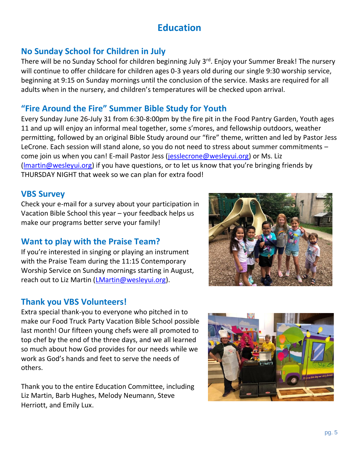### **Education**

#### **No Sunday School for Children in July**

There will be no Sunday School for children beginning July 3<sup>rd</sup>. Enjoy your Summer Break! The nursery will continue to offer childcare for children ages 0-3 years old during our single 9:30 worship service, beginning at 9:15 on Sunday mornings until the conclusion of the service. Masks are required for all adults when in the nursery, and children's temperatures will be checked upon arrival.

#### **"Fire Around the Fire" Summer Bible Study for Youth**

Every Sunday June 26-July 31 from 6:30-8:00pm by the fire pit in the Food Pantry Garden, Youth ages 11 and up will enjoy an informal meal together, some s'mores, and fellowship outdoors, weather permitting, followed by an original Bible Study around our "fire" theme, written and led by Pastor Jess LeCrone. Each session will stand alone, so you do not need to stress about summer commitments – come join us when you can! E-mail Pastor Jess [\(jesslecrone@wesleyui.org\)](mailto:jesslecrone@wesleyui.org) or Ms. Liz [\(lmartin@wesleyui.org](mailto:lmartin@wesleyui.org)) if you have questions, or to let us know that you're bringing friends by THURSDAY NIGHT that week so we can plan for extra food!

#### **VBS Survey**

Check your e-mail for a survey about your participation in Vacation Bible School this year – your feedback helps us make our programs better serve your family!

#### **Want to play with the Praise Team?**

If you're interested in singing or playing an instrument with the Praise Team during the 11:15 Contemporary Worship Service on Sunday mornings starting in August, reach out to Liz Martin [\(LMartin@wesleyui.org\)](mailto:LMartin@wesleyui.org).

#### **Thank you VBS Volunteers!**

Extra special thank-you to everyone who pitched in to make our Food Truck Party Vacation Bible School possible last month! Our fifteen young chefs were all promoted to top chef by the end of the three days, and we all learned so much about how God provides for our needs while we work as God's hands and feet to serve the needs of others.

Thank you to the entire Education Committee, including Liz Martin, Barb Hughes, Melody Neumann, Steve Herriott, and Emily Lux.



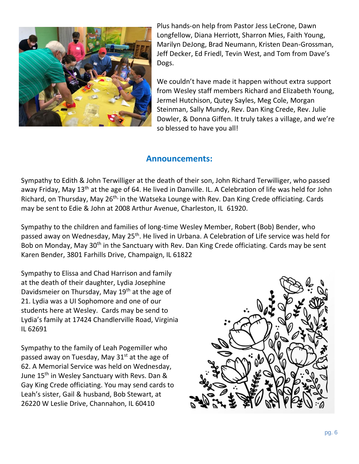

Plus hands-on help from Pastor Jess LeCrone, Dawn Longfellow, Diana Herriott, Sharron Mies, Faith Young, Marilyn DeJong, Brad Neumann, Kristen Dean-Grossman, Jeff Decker, Ed Friedl, Tevin West, and Tom from Dave's Dogs.

We couldn't have made it happen without extra support from Wesley staff members Richard and Elizabeth Young, Jermel Hutchison, Qutey Sayles, Meg Cole, Morgan Steinman, Sally Mundy, Rev. Dan King Crede, Rev. Julie Dowler, & Donna Giffen. It truly takes a village, and we're so blessed to have you all!

#### **Announcements:**

Sympathy to Edith & John Terwilliger at the death of their son, John Richard Terwilliger, who passed away Friday, May 13<sup>th</sup> at the age of 64. He lived in Danville. IL. A Celebration of life was held for John Richard, on Thursday, May 26<sup>th,</sup> in the Watseka Lounge with Rev. Dan King Crede officiating. Cards may be sent to Edie & John at 2008 Arthur Avenue, Charleston, IL 61920.

Sympathy to the children and families of long-time Wesley Member, Robert (Bob) Bender, who passed away on Wednesday, May 25<sup>th</sup>. He lived in Urbana. A Celebration of Life service was held for Bob on Monday, May 30<sup>th</sup> in the Sanctuary with Rev. Dan King Crede officiating. Cards may be sent Karen Bender, 3801 Farhills Drive, Champaign, IL 61822

Sympathy to Elissa and Chad Harrison and family at the death of their daughter, Lydia Josephine Davidsmeier on Thursday, May 19<sup>th</sup> at the age of 21. Lydia was a UI Sophomore and one of our students here at Wesley. Cards may be send to Lydia's family at 17424 Chandlerville Road, Virginia IL 62691

Sympathy to the family of Leah Pogemiller who passed away on Tuesday, May  $31<sup>st</sup>$  at the age of 62. A Memorial Service was held on Wednesday, June 15<sup>th</sup> in Wesley Sanctuary with Revs. Dan & Gay King Crede officiating. You may send cards to Leah's sister, Gail & husband, Bob Stewart, at 26220 W Leslie Drive, Channahon, IL 60410

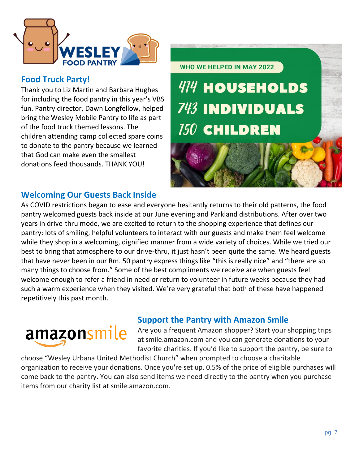

#### **Food Truck Party!**

Thank you to Liz Martin and Barbara Hughes for including the food pantry in this year's VBS fun. Pantry director, Dawn Longfellow, helped bring the Wesley Mobile Pantry to life as part of the food truck themed lessons. The children attending camp collected spare coins to donate to the pantry because we learned that God can make even the smallest donations feed thousands. THANK YOU!



#### **Welcoming Our Guests Back Inside**

As COVID restrictions began to ease and everyone hesitantly returns to their old patterns, the food pantry welcomed guests back inside at our June evening and Parkland distributions. After over two years in drive-thru mode, we are excited to return to the shopping experience that defines our pantry: lots of smiling, helpful volunteers to interact with our guests and make them feel welcome while they shop in a welcoming, dignified manner from a wide variety of choices. While we tried our best to bring that atmosphere to our drive-thru, it just hasn't been quite the same. We heard guests that have never been in our Rm. 50 pantry express things like "this is really nice" and "there are so many things to choose from." Some of the best compliments we receive are when guests feel welcome enough to refer a friend in need or return to volunteer in future weeks because they had such a warm experience when they visited. We're very grateful that both of these have happened repetitively this past month.

## amazonsmile

#### **Support the Pantry with Amazon Smile**

Are you a frequent Amazon shopper? Start your shopping trips at smile.amazon.com and you can generate donations to your favorite charities. If you'd like to support the pantry, be sure to

choose "Wesley Urbana United Methodist Church" when prompted to choose a charitable organization to receive your donations. Once you're set up, 0.5% of the price of eligible purchases will come back to the pantry. You can also send items we need directly to the pantry when you purchase items from our charity list at smile.amazon.com.